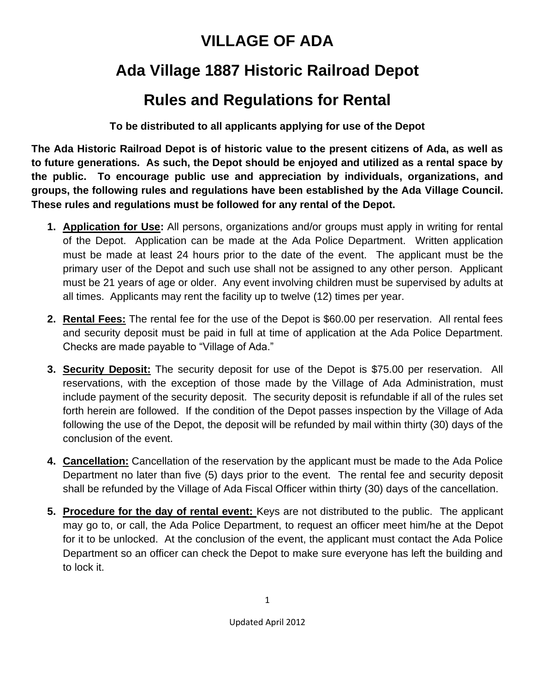## **VILLAGE OF ADA**

## **Ada Village 1887 Historic Railroad Depot**

## **Rules and Regulations for Rental**

**To be distributed to all applicants applying for use of the Depot**

**The Ada Historic Railroad Depot is of historic value to the present citizens of Ada, as well as to future generations. As such, the Depot should be enjoyed and utilized as a rental space by the public. To encourage public use and appreciation by individuals, organizations, and groups, the following rules and regulations have been established by the Ada Village Council. These rules and regulations must be followed for any rental of the Depot.**

- **1. Application for Use:** All persons, organizations and/or groups must apply in writing for rental of the Depot. Application can be made at the Ada Police Department. Written application must be made at least 24 hours prior to the date of the event. The applicant must be the primary user of the Depot and such use shall not be assigned to any other person. Applicant must be 21 years of age or older. Any event involving children must be supervised by adults at all times. Applicants may rent the facility up to twelve (12) times per year.
- **2. Rental Fees:** The rental fee for the use of the Depot is \$60.00 per reservation. All rental fees and security deposit must be paid in full at time of application at the Ada Police Department. Checks are made payable to "Village of Ada."
- **3. Security Deposit:** The security deposit for use of the Depot is \$75.00 per reservation. All reservations, with the exception of those made by the Village of Ada Administration, must include payment of the security deposit. The security deposit is refundable if all of the rules set forth herein are followed. If the condition of the Depot passes inspection by the Village of Ada following the use of the Depot, the deposit will be refunded by mail within thirty (30) days of the conclusion of the event.
- **4. Cancellation:** Cancellation of the reservation by the applicant must be made to the Ada Police Department no later than five (5) days prior to the event. The rental fee and security deposit shall be refunded by the Village of Ada Fiscal Officer within thirty (30) days of the cancellation.
- **5. Procedure for the day of rental event:** Keys are not distributed to the public. The applicant may go to, or call, the Ada Police Department, to request an officer meet him/he at the Depot for it to be unlocked. At the conclusion of the event, the applicant must contact the Ada Police Department so an officer can check the Depot to make sure everyone has left the building and to lock it.